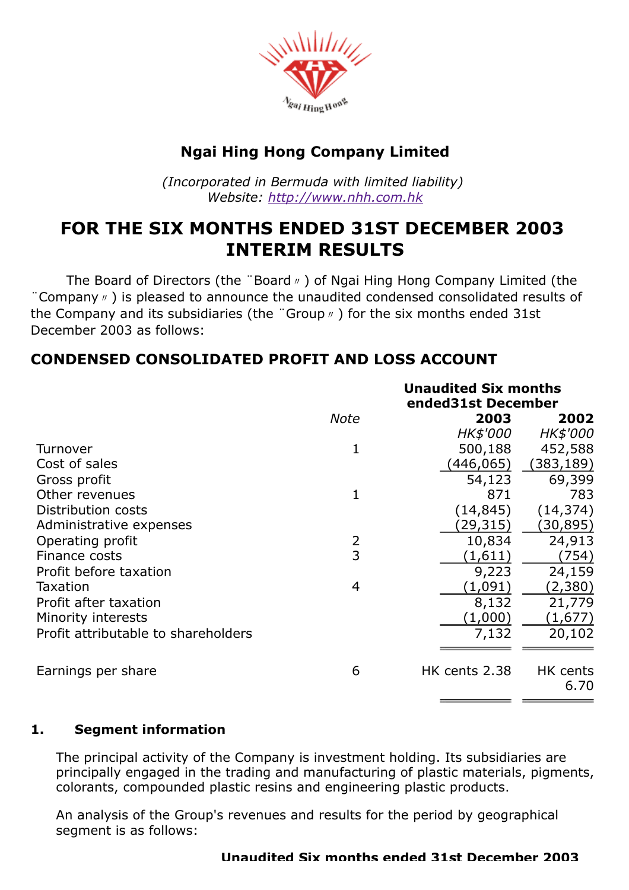

# Ngai Hing Hong Company Limited

(Incorporated in Bermuda with limited liability) Website: [http://www.nhh.com.hk](http://www.nhh.com.hk/)

# FOR THE SIX MONTHS ENDED 31ST DECEMBER 2003 INTERIM RESULTS

The Board of Directors (the "Board η) of Ngai Hing Hong Company Limited (the ¨Company〃) is pleased to announce the unaudited condensed consolidated results of the Company and its subsidiaries (the "Group <sub>n</sub>) for the six months ended 31st December 2003 as follows:

# CONDENSED CONSOLIDATED PROFIT AND LOSS ACCOUNT

|                                     |                | <b>Unaudited Six months</b><br>ended31st December |                  |
|-------------------------------------|----------------|---------------------------------------------------|------------------|
|                                     | <b>Note</b>    | 2003                                              | 2002             |
|                                     |                | HK\$'000                                          | HK\$'000         |
| Turnover                            | 1              | 500,188                                           | 452,588          |
| Cost of sales                       |                | (446,065)                                         | (383, 189)       |
| Gross profit                        |                | 54,123                                            | 69,399           |
| Other revenues                      | $\mathbf 1$    | 871                                               | 783              |
| Distribution costs                  |                | (14, 845)                                         | (14, 374)        |
| Administrative expenses             |                | (29, 315)                                         | (30, 895)        |
| Operating profit                    | 2              | 10,834                                            | 24,913           |
| Finance costs                       | 3              | (1,611)                                           | (754)            |
| Profit before taxation              |                | 9,223                                             | 24,159           |
| Taxation                            | $\overline{4}$ | (1,091)                                           | (2,380)          |
| Profit after taxation               |                | 8,132                                             | 21,779           |
| Minority interests                  |                | (1,000)                                           | (1,677)          |
| Profit attributable to shareholders |                | 7,132                                             | 20,102           |
| Earnings per share                  | 6              | HK cents 2.38                                     | HK cents<br>6.70 |

# 1. Segment information

The principal activity of the Company is investment holding. Its subsidiaries are principally engaged in the trading and manufacturing of plastic materials, pigments, colorants, compounded plastic resins and engineering plastic products.

An analysis of the Group's revenues and results for the period by geographical segment is as follows: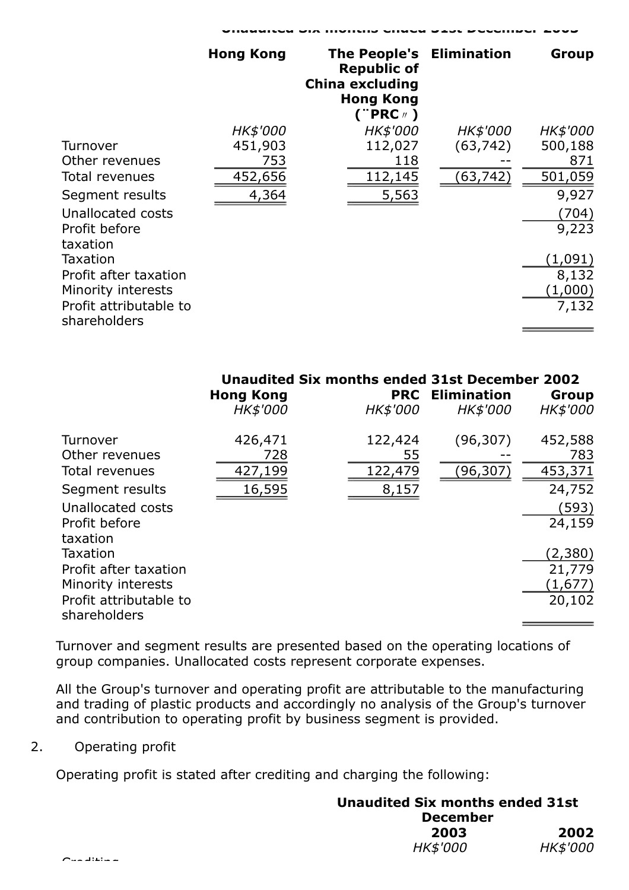|                                        | <b>Hong Kong</b> | <b>The People's Elimination</b><br><b>Republic of</b><br><b>China excluding</b><br><b>Hong Kong</b><br>("PRC <sub>"</sub> ) |                 | Group           |
|----------------------------------------|------------------|-----------------------------------------------------------------------------------------------------------------------------|-----------------|-----------------|
|                                        | HK\$'000         | HK\$'000                                                                                                                    | <i>HK\$'000</i> | <b>HK\$'000</b> |
| Turnover                               | 451,903          | 112,027                                                                                                                     | (63, 742)       | 500,188         |
| Other revenues                         | 753              | 118                                                                                                                         |                 | 871             |
| Total revenues                         | 452,656          | 112,145                                                                                                                     | (63, 742)       | 501,059         |
| Segment results                        | 4,364            | 5,563                                                                                                                       |                 | 9,927           |
| Unallocated costs                      |                  |                                                                                                                             |                 | (704)           |
| Profit before<br>taxation              |                  |                                                                                                                             |                 | 9,223           |
| Taxation                               |                  |                                                                                                                             |                 | (1,091)         |
| Profit after taxation                  |                  |                                                                                                                             |                 | 8,132           |
| Minority interests                     |                  |                                                                                                                             |                 | (1,000)         |
| Profit attributable to<br>shareholders |                  |                                                                                                                             |                 | 7,132           |

Unaudited Six months ended 31st December 2003

|                                                                                                               | Unaudited Six months ended 31st December 2002<br><b>Hong Kong</b> | <b>PRC</b>                        | <b>Elimination</b>  | Group                                                  |
|---------------------------------------------------------------------------------------------------------------|-------------------------------------------------------------------|-----------------------------------|---------------------|--------------------------------------------------------|
|                                                                                                               | HK\$'000                                                          | <b>HK\$'000</b>                   | <b>HK\$'000</b>     | HK\$'000                                               |
| Turnover<br>Other revenues<br><b>Total revenues</b><br>Segment results<br>Unallocated costs<br>Profit before  | 426,471<br>728<br>427,199<br>16,595                               | 122,424<br>55<br>122,479<br>8,157 | (96, 307)<br>96,307 | 452,588<br>783<br>453,371<br>24,752<br>(593)<br>24,159 |
| taxation<br>Taxation<br>Profit after taxation<br>Minority interests<br>Profit attributable to<br>shareholders |                                                                   |                                   |                     | (2,380)<br>21,779<br>(1,677)<br>20,102                 |

Turnover and segment results are presented based on the operating locations of group companies. Unallocated costs represent corporate expenses.

All the Group's turnover and operating profit are attributable to the manufacturing and trading of plastic products and accordingly no analysis of the Group's turnover and contribution to operating profit by business segment is provided.

# 2. Operating profit

Operating profit is stated after crediting and charging the following:

#### Unaudited Six months ended 31st December 2003 2002 HK\$'000 HK\$'000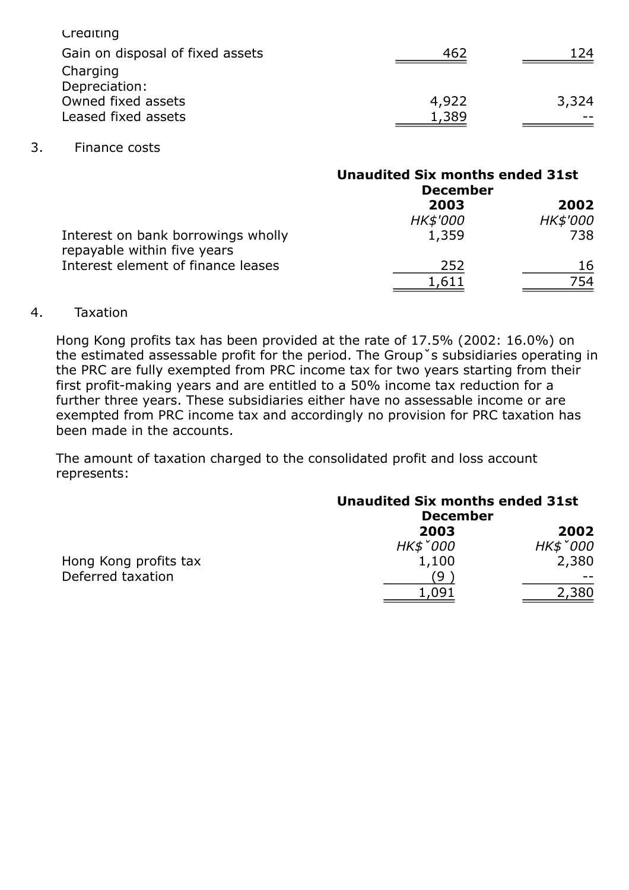| Crediting                        |       |       |
|----------------------------------|-------|-------|
| Gain on disposal of fixed assets | 462   | 124   |
| Charging                         |       |       |
| Depreciation:                    |       |       |
| Owned fixed assets               | 4,922 | 3,324 |
| Leased fixed assets              | 1,389 |       |
|                                  |       |       |

#### 3. Finance costs

|                                                                   | <b>Unaudited Six months ended 31st</b><br><b>December</b> |          |
|-------------------------------------------------------------------|-----------------------------------------------------------|----------|
|                                                                   | 2003                                                      | 2002     |
|                                                                   | <b>HK\$'000</b>                                           | HK\$'000 |
| Interest on bank borrowings wholly<br>repayable within five years | 1,359                                                     | 738      |
| Interest element of finance leases                                | 252                                                       | 16       |
|                                                                   | 1,611                                                     | 754      |

## 4. Taxation

Hong Kong profits tax has been provided at the rate of 17.5% (2002: 16.0%) on the estimated assessable profit for the period. The Groupˇs subsidiaries operating in the PRC are fully exempted from PRC income tax for two years starting from their first profit-making years and are entitled to a 50% income tax reduction for a further three years. These subsidiaries either have no assessable income or are exempted from PRC income tax and accordingly no provision for PRC taxation has been made in the accounts.

The amount of taxation charged to the consolidated profit and loss account represents:

|                       | <b>Unaudited Six months ended 31st</b><br><b>December</b> |          |
|-----------------------|-----------------------------------------------------------|----------|
|                       | 2003                                                      | 2002     |
|                       | HK\$ 000                                                  | HK\$ 000 |
| Hong Kong profits tax | 1,100                                                     | 2,380    |
| Deferred taxation     | q                                                         |          |
|                       |                                                           | 2,380    |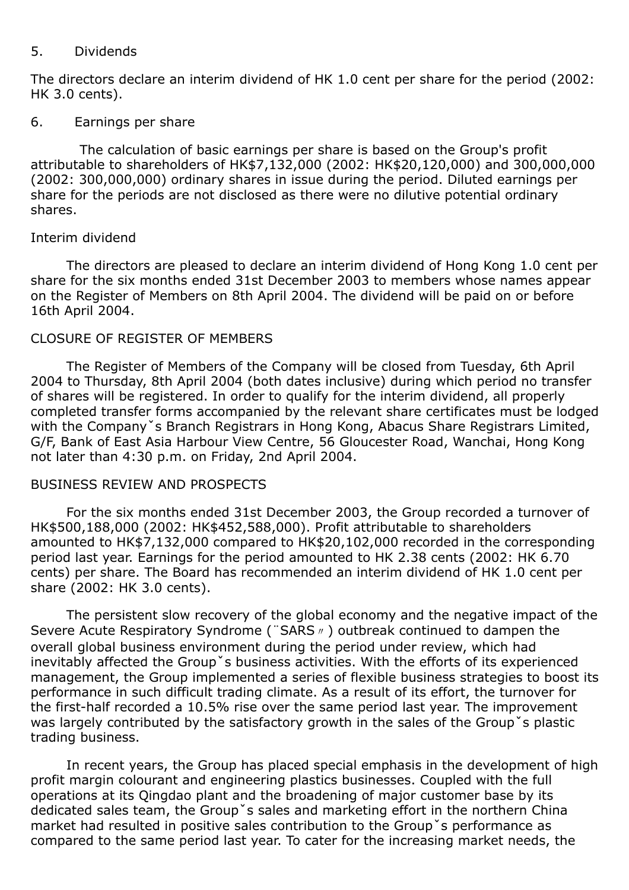## 5. Dividends

The directors declare an interim dividend of HK 1.0 cent per share for the period (2002: HK 3.0 cents).

## 6. Earnings per share

The calculation of basic earnings per share is based on the Group's profit attributable to shareholders of HK\$7,132,000 (2002: HK\$20,120,000) and 300,000,000 (2002: 300,000,000) ordinary shares in issue during the period. Diluted earnings per share for the periods are not disclosed as there were no dilutive potential ordinary shares.

# Interim dividend

The directors are pleased to declare an interim dividend of Hong Kong 1.0 cent per share for the six months ended 31st December 2003 to members whose names appear on the Register of Members on 8th April 2004. The dividend will be paid on or before 16th April 2004.

# CLOSURE OF REGISTER OF MEMBERS

The Register of Members of the Company will be closed from Tuesday, 6th April 2004 to Thursday, 8th April 2004 (both dates inclusive) during which period no transfer of shares will be registered. In order to qualify for the interim dividend, all properly completed transfer forms accompanied by the relevant share certificates must be lodged with the Company's Branch Registrars in Hong Kong, Abacus Share Registrars Limited, G/F, Bank of East Asia Harbour View Centre, 56 Gloucester Road, Wanchai, Hong Kong not later than 4:30 p.m. on Friday, 2nd April 2004.

# BUSINESS REVIEW AND PROSPECTS

For the six months ended 31st December 2003, the Group recorded a turnover of HK\$500,188,000 (2002: HK\$452,588,000). Profit attributable to shareholders amounted to HK\$7,132,000 compared to HK\$20,102,000 recorded in the corresponding period last year. Earnings for the period amounted to HK 2.38 cents (2002: HK 6.70 cents) per share. The Board has recommended an interim dividend of HK 1.0 cent per share (2002: HK 3.0 cents).

The persistent slow recovery of the global economy and the negative impact of the Severe Acute Respiratory Syndrome (¨SARS〃) outbreak continued to dampen the overall global business environment during the period under review, which had inevitably affected the Groupˇs business activities. With the efforts of its experienced management, the Group implemented a series of flexible business strategies to boost its performance in such difficult trading climate. As a result of its effort, the turnover for the first-half recorded a 10.5% rise over the same period last year. The improvement was largely contributed by the satisfactory growth in the sales of the Group s plastic trading business.

In recent years, the Group has placed special emphasis in the development of high profit margin colourant and engineering plastics businesses. Coupled with the full operations at its Qingdao plant and the broadening of major customer base by its dedicated sales team, the Group's sales and marketing effort in the northern China market had resulted in positive sales contribution to the Groupˇs performance as compared to the same period last year. To cater for the increasing market needs, the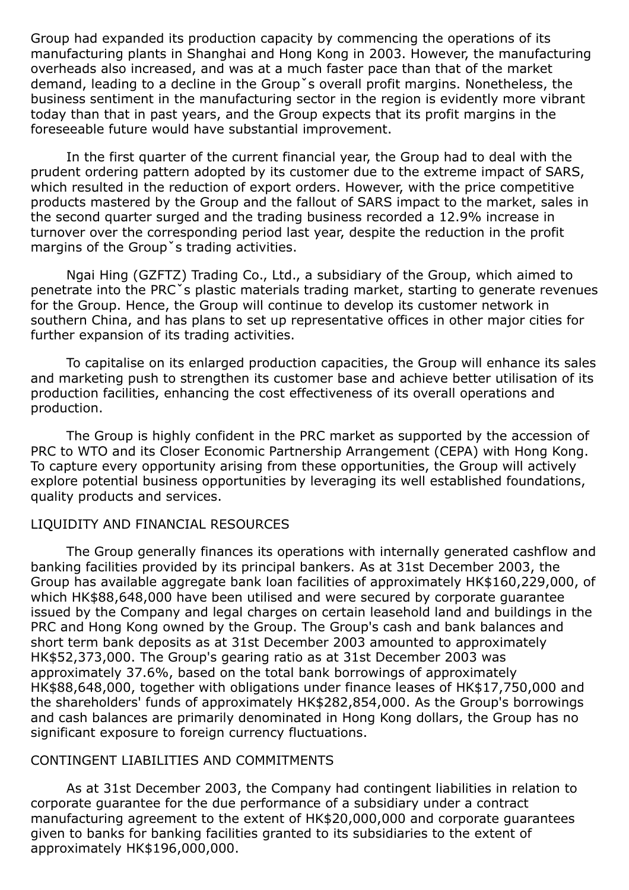Group had expanded its production capacity by commencing the operations of its manufacturing plants in Shanghai and Hong Kong in 2003. However, the manufacturing overheads also increased, and was at a much faster pace than that of the market demand, leading to a decline in the Groupˇs overall profit margins. Nonetheless, the business sentiment in the manufacturing sector in the region is evidently more vibrant today than that in past years, and the Group expects that its profit margins in the foreseeable future would have substantial improvement.

In the first quarter of the current financial year, the Group had to deal with the prudent ordering pattern adopted by its customer due to the extreme impact of SARS, which resulted in the reduction of export orders. However, with the price competitive products mastered by the Group and the fallout of SARS impact to the market, sales in the second quarter surged and the trading business recorded a 12.9% increase in turnover over the corresponding period last year, despite the reduction in the profit margins of the Groupˇs trading activities.

Ngai Hing (GZFTZ) Trading Co., Ltd., a subsidiary of the Group, which aimed to penetrate into the PRCˇs plastic materials trading market, starting to generate revenues for the Group. Hence, the Group will continue to develop its customer network in southern China, and has plans to set up representative offices in other major cities for further expansion of its trading activities.

To capitalise on its enlarged production capacities, the Group will enhance its sales and marketing push to strengthen its customer base and achieve better utilisation of its production facilities, enhancing the cost effectiveness of its overall operations and production.

The Group is highly confident in the PRC market as supported by the accession of PRC to WTO and its Closer Economic Partnership Arrangement (CEPA) with Hong Kong. To capture every opportunity arising from these opportunities, the Group will actively explore potential business opportunities by leveraging its well established foundations, quality products and services.

#### LIQUIDITY AND FINANCIAL RESOURCES

The Group generally finances its operations with internally generated cashflow and banking facilities provided by its principal bankers. As at 31st December 2003, the Group has available aggregate bank loan facilities of approximately HK\$160,229,000, of which HK\$88,648,000 have been utilised and were secured by corporate guarantee issued by the Company and legal charges on certain leasehold land and buildings in the PRC and Hong Kong owned by the Group. The Group's cash and bank balances and short term bank deposits as at 31st December 2003 amounted to approximately HK\$52,373,000. The Group's gearing ratio as at 31st December 2003 was approximately 37.6%, based on the total bank borrowings of approximately HK\$88,648,000, together with obligations under finance leases of HK\$17,750,000 and the shareholders' funds of approximately HK\$282,854,000. As the Group's borrowings and cash balances are primarily denominated in Hong Kong dollars, the Group has no significant exposure to foreign currency fluctuations.

#### CONTINGENT LIABILITIES AND COMMITMENTS

As at 31st December 2003, the Company had contingent liabilities in relation to corporate guarantee for the due performance of a subsidiary under a contract manufacturing agreement to the extent of HK\$20,000,000 and corporate guarantees given to banks for banking facilities granted to its subsidiaries to the extent of approximately HK\$196,000,000.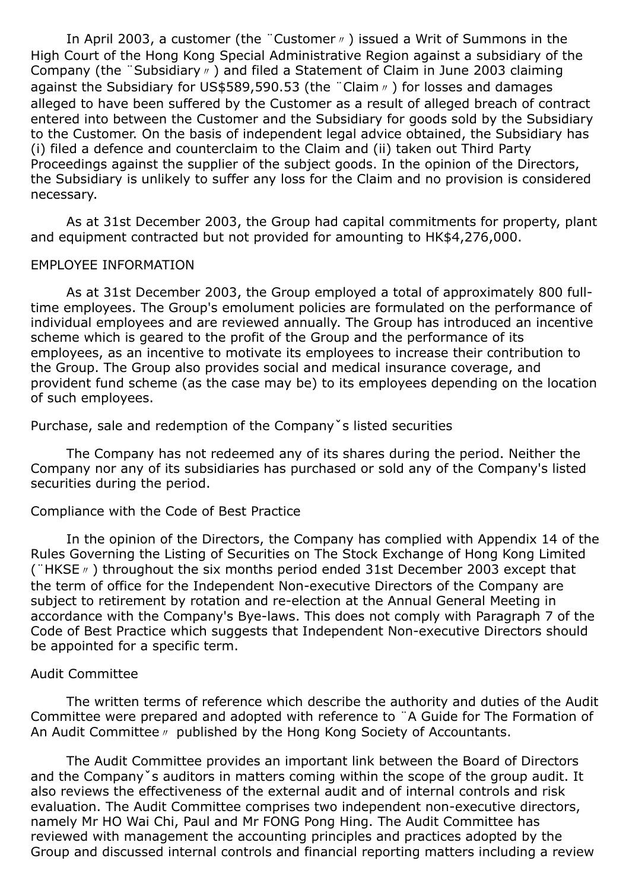In April 2003, a customer (the "Customer <sup>n</sup>) issued a Writ of Summons in the High Court of the Hong Kong Special Administrative Region against a subsidiary of the Company (the ¨Subsidiary〃) and filed a Statement of Claim in June 2003 claiming against the Subsidiary for US\$589,590.53 (the "Claim ø) for losses and damages alleged to have been suffered by the Customer as a result of alleged breach of contract entered into between the Customer and the Subsidiary for goods sold by the Subsidiary to the Customer. On the basis of independent legal advice obtained, the Subsidiary has (i) filed a defence and counterclaim to the Claim and (ii) taken out Third Party Proceedings against the supplier of the subject goods. In the opinion of the Directors, the Subsidiary is unlikely to suffer any loss for the Claim and no provision is considered necessary.

As at 31st December 2003, the Group had capital commitments for property, plant and equipment contracted but not provided for amounting to HK\$4,276,000.

#### EMPLOYEE INFORMATION

As at 31st December 2003, the Group employed a total of approximately 800 fulltime employees. The Group's emolument policies are formulated on the performance of individual employees and are reviewed annually. The Group has introduced an incentive scheme which is geared to the profit of the Group and the performance of its employees, as an incentive to motivate its employees to increase their contribution to the Group. The Group also provides social and medical insurance coverage, and provident fund scheme (as the case may be) to its employees depending on the location of such employees.

Purchase, sale and redemption of the Companyˇs listed securities

The Company has not redeemed any of its shares during the period. Neither the Company nor any of its subsidiaries has purchased or sold any of the Company's listed securities during the period.

#### Compliance with the Code of Best Practice

In the opinion of the Directors, the Company has complied with Appendix 14 of the Rules Governing the Listing of Securities on The Stock Exchange of Hong Kong Limited (¨HKSE〃) throughout the six months period ended 31st December 2003 except that the term of office for the Independent Non-executive Directors of the Company are subject to retirement by rotation and re-election at the Annual General Meeting in accordance with the Company's Bye-laws. This does not comply with Paragraph 7 of the Code of Best Practice which suggests that Independent Non-executive Directors should be appointed for a specific term.

#### Audit Committee

The written terms of reference which describe the authority and duties of the Audit Committee were prepared and adopted with reference to ¨A Guide for The Formation of An Audit Committee〃 published by the Hong Kong Society of Accountants.

The Audit Committee provides an important link between the Board of Directors and the Companyˇs auditors in matters coming within the scope of the group audit. It also reviews the effectiveness of the external audit and of internal controls and risk evaluation. The Audit Committee comprises two independent non-executive directors, namely Mr HO Wai Chi, Paul and Mr FONG Pong Hing. The Audit Committee has reviewed with management the accounting principles and practices adopted by the Group and discussed internal controls and financial reporting matters including a review